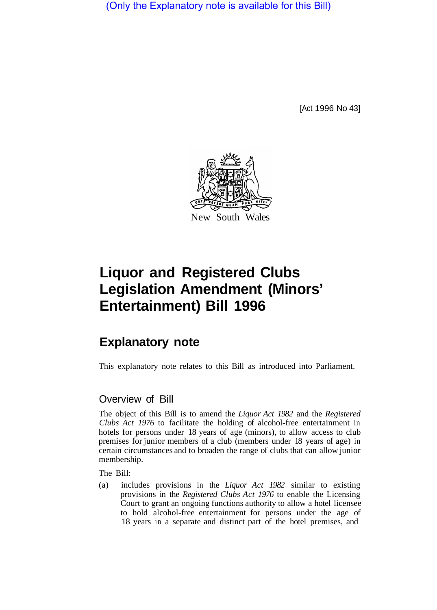(Only the Explanatory note is available for this Bill)

[Act 1996 No 43]



# **Liquor and Registered Clubs Legislation Amendment (Minors' Entertainment) Bill 1996**

# **Explanatory note**

This explanatory note relates to this Bill as introduced into Parliament.

## Overview of Bill

The object of this Bill is to amend the *Liquor Act 1982* and the *Registered Clubs Act 1976* to facilitate the holding of alcohol-free entertainment in hotels for persons under 18 years of age (minors), to allow access to club premises for junior members of a club (members under 18 years of age) in certain circumstances and to broaden the range of clubs that can allow junior membership.

The Bill:

(a) includes provisions in the *Liquor Act 1982* similar to existing provisions in the *Registered Clubs Act 1976* to enable the Licensing Court to grant an ongoing functions authority to allow a hotel licensee to hold alcohol-free entertainment for persons under the age of 18 years in a separate and distinct part of the hotel premises, and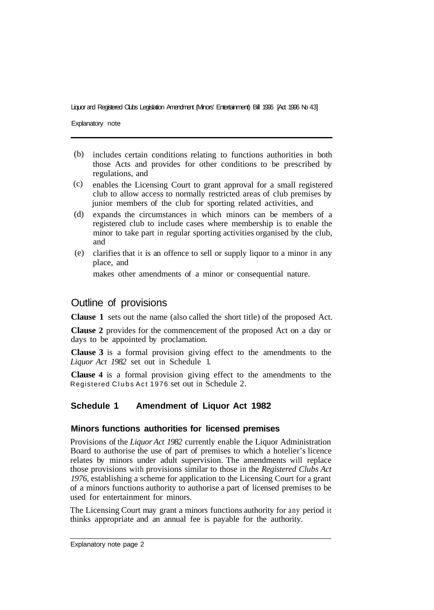#### Liquor and Registered Clubs Legislation Amendment (Minors' Entertainment) Bill 1996 [Act 1996 No 43]

Explanatory note

- (b) includes certain conditions relating to functions authorities in both those Acts and provides for other conditions to be prescribed by regulations, and
- enables the Licensing Court to grant approval for a small registered (c) club to allow access to normally restricted areas of club premises by junior members of the club for sporting related activities, and
- expands the circumstances in which minors can be members of a (d) registered club to include cases where membership is to enable the minor to take part in regular sporting activities organised by the club, and
- clarifies that it is an offence to sell or supply liquor to a minor in any place, and (e)

makes other amendments of a minor or consequential nature.

#### Outline of provisions

**Clause 1** sets out the name (also called the short title) of the proposed Act.

**Clause 2** provides for the commencement of the proposed Act on a day or days to be appointed by proclamation.

**Clause 3** is a formal provision giving effect to the amendments to the *Liquor Act 1982* set out in Schedule 1.

**Clause 4** is a formal provision giving effect to the amendments to the Registered Clubs Act 1976 set out in Schedule 2.

#### **Schedule 1 Amendment of Liquor Act 1982**

#### **Minors functions authorities for licensed premises**

Provisions of the *Liquor Act 1982* currently enable the Liquor Administration Board to authorise the use of part of premises to which a hotelier's licence relates by minors under adult supervision. The amendments will replace those provisions with provisions similar to those in the *Registered Clubs Act 1976,* establishing a scheme for application to the Licensing Court for a grant of a minors functions authority to authorise a part of licensed premises to be used for entertainment for minors.

The Licensing Court may grant a minors functions authority for any period it thinks appropriate and an annual fee is payable for the authority.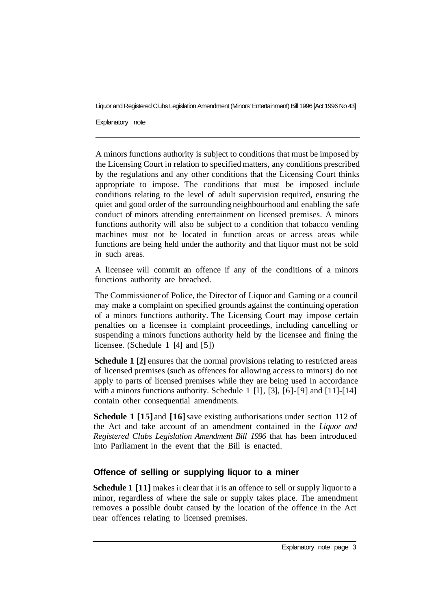Liquor and Registered Clubs Legislation Amendment (Minors' Entertainment) Bill 1996 [Act 1996 No 43]

Explanatory note

A minors functions authority is subject to conditions that must be imposed by the Licensing Court in relation to specified matters, any conditions prescribed by the regulations and any other conditions that the Licensing Court thinks appropriate to impose. The conditions that must be imposed include conditions relating to the level of adult supervision required, ensuring the quiet and good order of the surrounding neighbourhood and enabling the safe conduct of minors attending entertainment on licensed premises. A minors functions authority will also be subject to a condition that tobacco vending machines must not be located in function areas or access areas while functions are being held under the authority and that liquor must not be sold in such areas.

A licensee will commit an offence if any of the conditions of a minors functions authority are breached.

The Commissioner of Police, the Director of Liquor and Gaming or a council may make a complaint on specified grounds against the continuing operation of a minors functions authority. The Licensing Court may impose certain penalties on a licensee in complaint proceedings, including cancelling or suspending a minors functions authority held by the licensee and fining the licensee. (Schedule 1 [4] and [5])

**Schedule 1** [2] ensures that the normal provisions relating to restricted areas of licensed premises (such as offences for allowing access to minors) do not apply to parts of licensed premises while they are being used in accordance with a minors functions authority. Schedule 1 [1], [3], [6]-[9] and [11]-[14] contain other consequential amendments.

**Schedule 1 [15]** and **[16]** save existing authorisations under section 112 of the Act and take account of an amendment contained in the *Liquor and Registered Clubs Legislation Amendment Bill 1996* that has been introduced into Parliament in the event that the Bill is enacted.

# **Offence of selling or supplying liquor to a miner**

**Schedule 1** [11] makes it clear that it is an offence to sell or supply liquor to a minor, regardless of where the sale or supply takes place. The amendment removes a possible doubt caused by the location of the offence in the Act near offences relating to licensed premises.